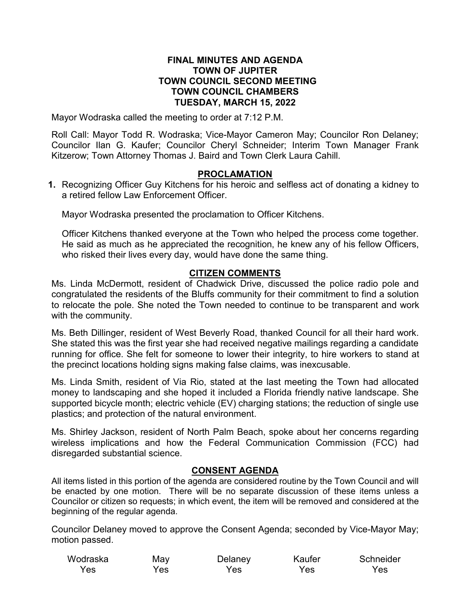#### **FINAL MINUTES AND AGENDA TOWN OF JUPITER TOWN COUNCIL SECOND MEETING TOWN COUNCIL CHAMBERS TUESDAY, MARCH 15, 2022**

Mayor Wodraska called the meeting to order at 7:12 P.M.

Roll Call: Mayor Todd R. Wodraska; Vice-Mayor Cameron May; Councilor Ron Delaney; Councilor Ilan G. Kaufer; Councilor Cheryl Schneider; Interim Town Manager Frank Kitzerow; Town Attorney Thomas J. Baird and Town Clerk Laura Cahill.

#### **PROCLAMATION**

**1.** Recognizing Officer Guy Kitchens for his heroic and selfless act of donating a kidney to a retired fellow Law Enforcement Officer.

Mayor Wodraska presented the proclamation to Officer Kitchens.

Officer Kitchens thanked everyone at the Town who helped the process come together. He said as much as he appreciated the recognition, he knew any of his fellow Officers, who risked their lives every day, would have done the same thing.

## **CITIZEN COMMENTS**

Ms. Linda McDermott, resident of Chadwick Drive, discussed the police radio pole and congratulated the residents of the Bluffs community for their commitment to find a solution to relocate the pole. She noted the Town needed to continue to be transparent and work with the community.

Ms. Beth Dillinger, resident of West Beverly Road, thanked Council for all their hard work. She stated this was the first year she had received negative mailings regarding a candidate running for office. She felt for someone to lower their integrity, to hire workers to stand at the precinct locations holding signs making false claims, was inexcusable.

Ms. Linda Smith, resident of Via Rio, stated at the last meeting the Town had allocated money to landscaping and she hoped it included a Florida friendly native landscape. She supported bicycle month; electric vehicle (EV) charging stations; the reduction of single use plastics; and protection of the natural environment.

Ms. Shirley Jackson, resident of North Palm Beach, spoke about her concerns regarding wireless implications and how the Federal Communication Commission (FCC) had disregarded substantial science.

## **CONSENT AGENDA**

All items listed in this portion of the agenda are considered routine by the Town Council and will be enacted by one motion. There will be no separate discussion of these items unless a Councilor or citizen so requests; in which event, the item will be removed and considered at the beginning of the regular agenda.

Councilor Delaney moved to approve the Consent Agenda; seconded by Vice-Mayor May; motion passed.

| Wodraska | May | Delaney | Kaufer | Schneider |
|----------|-----|---------|--------|-----------|
| Yes      | Yes | Yes     | Yes.   | Yes       |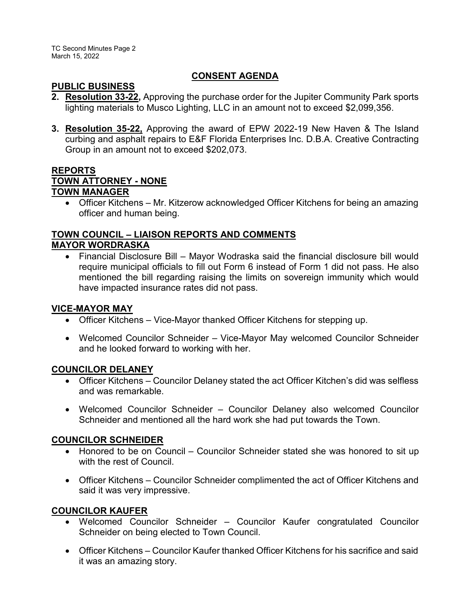### **CONSENT AGENDA**

#### **PUBLIC BUSINESS**

- **2. Resolution 33-22,** Approving the purchase order for the Jupiter Community Park sports lighting materials to Musco Lighting, LLC in an amount not to exceed \$2,099,356.
- **3. Resolution 35-22,** Approving the award of EPW 2022-19 New Haven & The Island curbing and asphalt repairs to E&F Florida Enterprises Inc. D.B.A. Creative Contracting Group in an amount not to exceed \$202,073.

## **REPORTS TOWN ATTORNEY - NONE TOWN MANAGER**

· Officer Kitchens – Mr. Kitzerow acknowledged Officer Kitchens for being an amazing officer and human being.

#### **TOWN COUNCIL – LIAISON REPORTS AND COMMENTS MAYOR WORDRASKA**

· Financial Disclosure Bill – Mayor Wodraska said the financial disclosure bill would require municipal officials to fill out Form 6 instead of Form 1 did not pass. He also mentioned the bill regarding raising the limits on sovereign immunity which would have impacted insurance rates did not pass.

## **VICE-MAYOR MAY**

- Officer Kitchens Vice-Mayor thanked Officer Kitchens for stepping up.
- · Welcomed Councilor Schneider Vice-Mayor May welcomed Councilor Schneider and he looked forward to working with her.

## **COUNCILOR DELANEY**

- · Officer Kitchens Councilor Delaney stated the act Officer Kitchen's did was selfless and was remarkable.
- · Welcomed Councilor Schneider Councilor Delaney also welcomed Councilor Schneider and mentioned all the hard work she had put towards the Town.

## **COUNCILOR SCHNEIDER**

- · Honored to be on Council Councilor Schneider stated she was honored to sit up with the rest of Council.
- · Officer Kitchens Councilor Schneider complimented the act of Officer Kitchens and said it was very impressive.

# **COUNCILOR KAUFER**

- Welcomed Councilor Schneider Councilor Kaufer congratulated Councilor Schneider on being elected to Town Council.
- · Officer Kitchens Councilor Kaufer thanked Officer Kitchens for his sacrifice and said it was an amazing story.